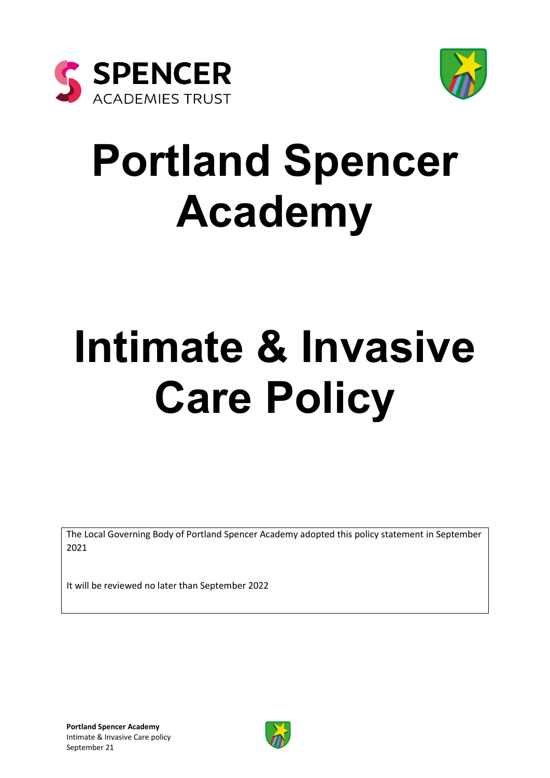



## **Portland Spencer Academy**

# **Intimate & Invasive Care Policy**

The Local Governing Body of Portland Spencer Academy adopted this policy statement in September 2021

It will be reviewed no later than September 2022

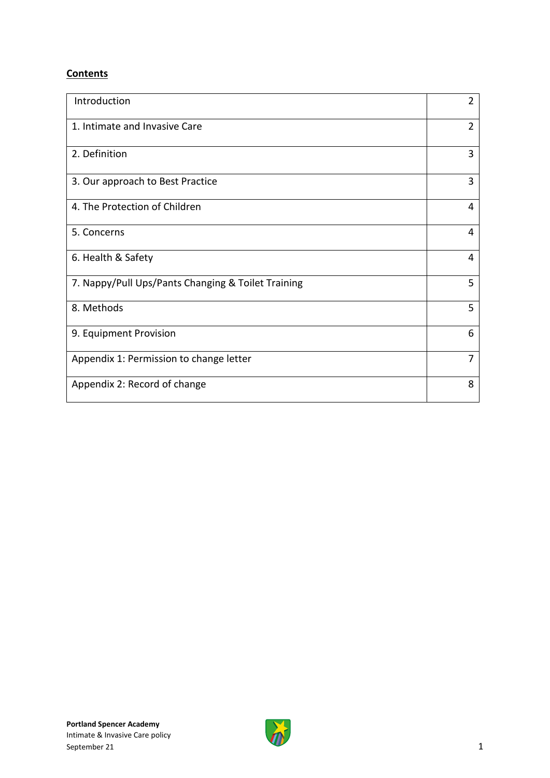#### **Contents**

| Introduction                                       | $\overline{2}$ |
|----------------------------------------------------|----------------|
| 1. Intimate and Invasive Care                      | $\overline{2}$ |
| 2. Definition                                      | 3              |
| 3. Our approach to Best Practice                   | 3              |
| 4. The Protection of Children                      | 4              |
| 5. Concerns                                        | 4              |
| 6. Health & Safety                                 | 4              |
| 7. Nappy/Pull Ups/Pants Changing & Toilet Training | 5              |
| 8. Methods                                         | 5              |
| 9. Equipment Provision                             | 6              |
| Appendix 1: Permission to change letter            | 7              |
| Appendix 2: Record of change                       | 8              |

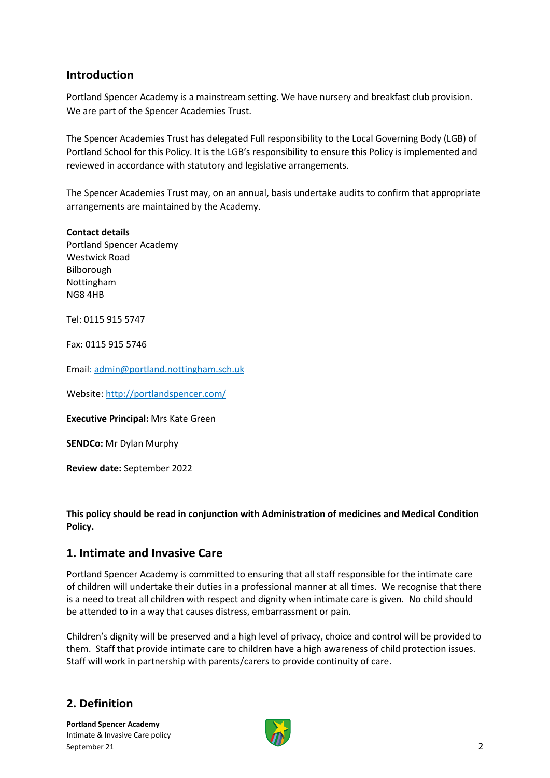#### **Introduction**

Portland Spencer Academy is a mainstream setting. We have nursery and breakfast club provision. We are part of the Spencer Academies Trust.

The Spencer Academies Trust has delegated Full responsibility to the Local Governing Body (LGB) of Portland School for this Policy. It is the LGB's responsibility to ensure this Policy is implemented and reviewed in accordance with statutory and legislative arrangements.

The Spencer Academies Trust may, on an annual, basis undertake audits to confirm that appropriate arrangements are maintained by the Academy.

**Contact details** Portland Spencer Academy Westwick Road Bilborough Nottingham NG8 4HB

Tel: 0115 915 5747

Fax: 0115 915 5746

Email: [admin@portland.nottingham.sch.uk](mailto:admin@portland.nottingham.sch.uk)

Website[: http://portlandspencer.com/](http://portlandspencer.com/)

**Executive Principal:** Mrs Kate Green

**SENDCo:** Mr Dylan Murphy

**Review date:** September 2022

**This policy should be read in conjunction with Administration of medicines and Medical Condition Policy.**

#### **1. Intimate and Invasive Care**

Portland Spencer Academy is committed to ensuring that all staff responsible for the intimate care of children will undertake their duties in a professional manner at all times. We recognise that there is a need to treat all children with respect and dignity when intimate care is given. No child should be attended to in a way that causes distress, embarrassment or pain.

Children's dignity will be preserved and a high level of privacy, choice and control will be provided to them. Staff that provide intimate care to children have a high awareness of child protection issues. Staff will work in partnership with parents/carers to provide continuity of care.

## **2. Definition**

**Portland Spencer Academy**  Intimate & Invasive Care policy September 21 2

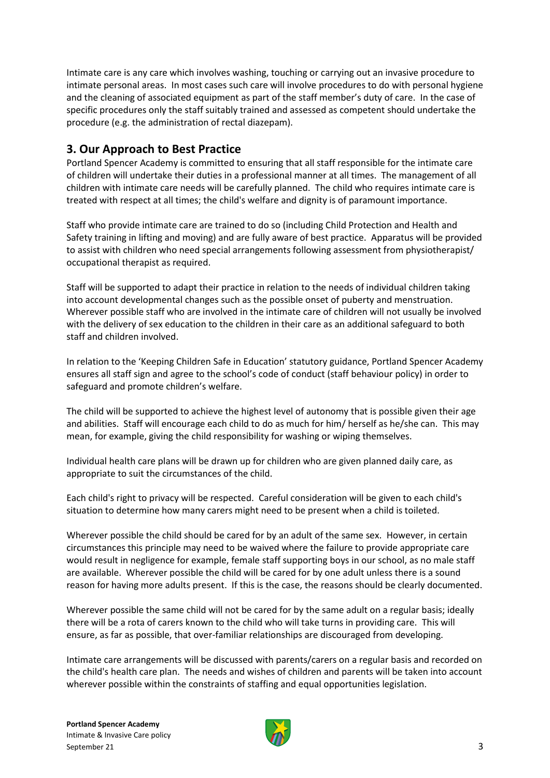Intimate care is any care which involves washing, touching or carrying out an invasive procedure to intimate personal areas. In most cases such care will involve procedures to do with personal hygiene and the cleaning of associated equipment as part of the staff member's duty of care. In the case of specific procedures only the staff suitably trained and assessed as competent should undertake the procedure (e.g. the administration of rectal diazepam).

#### **3. Our Approach to Best Practice**

Portland Spencer Academy is committed to ensuring that all staff responsible for the intimate care of children will undertake their duties in a professional manner at all times. The management of all children with intimate care needs will be carefully planned. The child who requires intimate care is treated with respect at all times; the child's welfare and dignity is of paramount importance.

Staff who provide intimate care are trained to do so (including Child Protection and Health and Safety training in lifting and moving) and are fully aware of best practice. Apparatus will be provided to assist with children who need special arrangements following assessment from physiotherapist/ occupational therapist as required.

Staff will be supported to adapt their practice in relation to the needs of individual children taking into account developmental changes such as the possible onset of puberty and menstruation. Wherever possible staff who are involved in the intimate care of children will not usually be involved with the delivery of sex education to the children in their care as an additional safeguard to both staff and children involved.

In relation to the 'Keeping Children Safe in Education' statutory guidance, Portland Spencer Academy ensures all staff sign and agree to the school's code of conduct (staff behaviour policy) in order to safeguard and promote children's welfare.

The child will be supported to achieve the highest level of autonomy that is possible given their age and abilities. Staff will encourage each child to do as much for him/ herself as he/she can. This may mean, for example, giving the child responsibility for washing or wiping themselves.

Individual health care plans will be drawn up for children who are given planned daily care, as appropriate to suit the circumstances of the child.

Each child's right to privacy will be respected. Careful consideration will be given to each child's situation to determine how many carers might need to be present when a child is toileted.

Wherever possible the child should be cared for by an adult of the same sex. However, in certain circumstances this principle may need to be waived where the failure to provide appropriate care would result in negligence for example, female staff supporting boys in our school, as no male staff are available. Wherever possible the child will be cared for by one adult unless there is a sound reason for having more adults present. If this is the case, the reasons should be clearly documented.

Wherever possible the same child will not be cared for by the same adult on a regular basis; ideally there will be a rota of carers known to the child who will take turns in providing care. This will ensure, as far as possible, that over-familiar relationships are discouraged from developing.

Intimate care arrangements will be discussed with parents/carers on a regular basis and recorded on the child's health care plan. The needs and wishes of children and parents will be taken into account wherever possible within the constraints of staffing and equal opportunities legislation.

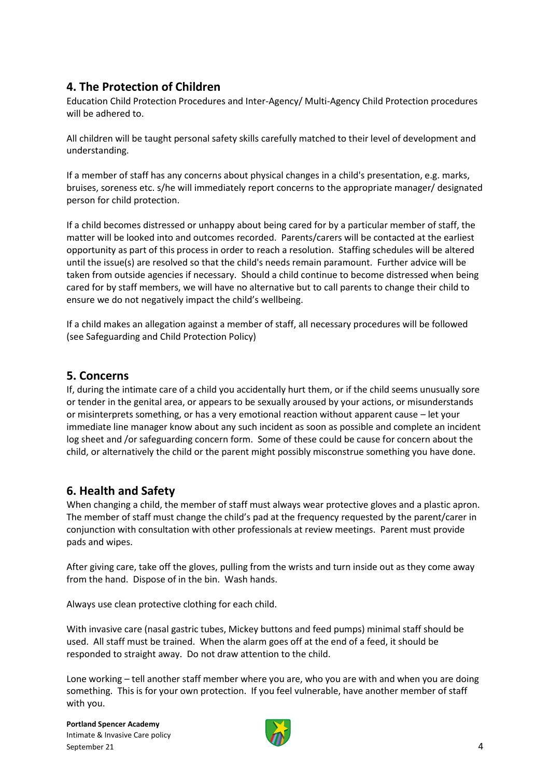#### **4. The Protection of Children**

Education Child Protection Procedures and Inter-Agency/ Multi-Agency Child Protection procedures will be adhered to.

All children will be taught personal safety skills carefully matched to their level of development and understanding.

If a member of staff has any concerns about physical changes in a child's presentation, e.g. marks, bruises, soreness etc. s/he will immediately report concerns to the appropriate manager/ designated person for child protection.

If a child becomes distressed or unhappy about being cared for by a particular member of staff, the matter will be looked into and outcomes recorded. Parents/carers will be contacted at the earliest opportunity as part of this process in order to reach a resolution. Staffing schedules will be altered until the issue(s) are resolved so that the child's needs remain paramount. Further advice will be taken from outside agencies if necessary. Should a child continue to become distressed when being cared for by staff members, we will have no alternative but to call parents to change their child to ensure we do not negatively impact the child's wellbeing.

If a child makes an allegation against a member of staff, all necessary procedures will be followed (see Safeguarding and Child Protection Policy)

#### **5. Concerns**

If, during the intimate care of a child you accidentally hurt them, or if the child seems unusually sore or tender in the genital area, or appears to be sexually aroused by your actions, or misunderstands or misinterprets something, or has a very emotional reaction without apparent cause – let your immediate line manager know about any such incident as soon as possible and complete an incident log sheet and /or safeguarding concern form. Some of these could be cause for concern about the child, or alternatively the child or the parent might possibly misconstrue something you have done.

#### **6. Health and Safety**

When changing a child, the member of staff must always wear protective gloves and a plastic apron. The member of staff must change the child's pad at the frequency requested by the parent/carer in conjunction with consultation with other professionals at review meetings. Parent must provide pads and wipes.

After giving care, take off the gloves, pulling from the wrists and turn inside out as they come away from the hand. Dispose of in the bin. Wash hands.

Always use clean protective clothing for each child.

With invasive care (nasal gastric tubes, Mickey buttons and feed pumps) minimal staff should be used. All staff must be trained. When the alarm goes off at the end of a feed, it should be responded to straight away. Do not draw attention to the child.

Lone working – tell another staff member where you are, who you are with and when you are doing something. This is for your own protection. If you feel vulnerable, have another member of staff with you.

**Portland Spencer Academy**  Intimate & Invasive Care policy September 21 4

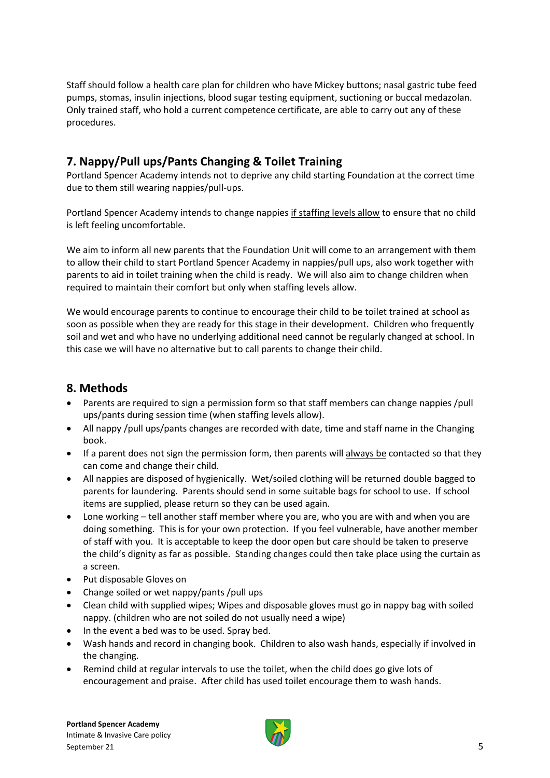Staff should follow a health care plan for children who have Mickey buttons; nasal gastric tube feed pumps, stomas, insulin injections, blood sugar testing equipment, suctioning or buccal medazolan. Only trained staff, who hold a current competence certificate, are able to carry out any of these procedures.

### **7. Nappy/Pull ups/Pants Changing & Toilet Training**

Portland Spencer Academy intends not to deprive any child starting Foundation at the correct time due to them still wearing nappies/pull-ups.

Portland Spencer Academy intends to change nappies if staffing levels allow to ensure that no child is left feeling uncomfortable.

We aim to inform all new parents that the Foundation Unit will come to an arrangement with them to allow their child to start Portland Spencer Academy in nappies/pull ups, also work together with parents to aid in toilet training when the child is ready. We will also aim to change children when required to maintain their comfort but only when staffing levels allow.

We would encourage parents to continue to encourage their child to be toilet trained at school as soon as possible when they are ready for this stage in their development. Children who frequently soil and wet and who have no underlying additional need cannot be regularly changed at school. In this case we will have no alternative but to call parents to change their child.

#### **8. Methods**

- Parents are required to sign a permission form so that staff members can change nappies /pull ups/pants during session time (when staffing levels allow).
- All nappy /pull ups/pants changes are recorded with date, time and staff name in the Changing book.
- If a parent does not sign the permission form, then parents will always be contacted so that they can come and change their child.
- All nappies are disposed of hygienically. Wet/soiled clothing will be returned double bagged to parents for laundering. Parents should send in some suitable bags for school to use. If school items are supplied, please return so they can be used again.
- Lone working tell another staff member where you are, who you are with and when you are doing something. This is for your own protection. If you feel vulnerable, have another member of staff with you. It is acceptable to keep the door open but care should be taken to preserve the child's dignity as far as possible. Standing changes could then take place using the curtain as a screen.
- Put disposable Gloves on
- Change soiled or wet nappy/pants /pull ups
- Clean child with supplied wipes; Wipes and disposable gloves must go in nappy bag with soiled nappy. (children who are not soiled do not usually need a wipe)
- In the event a bed was to be used. Spray bed.
- Wash hands and record in changing book. Children to also wash hands, especially if involved in the changing.
- Remind child at regular intervals to use the toilet, when the child does go give lots of encouragement and praise. After child has used toilet encourage them to wash hands.

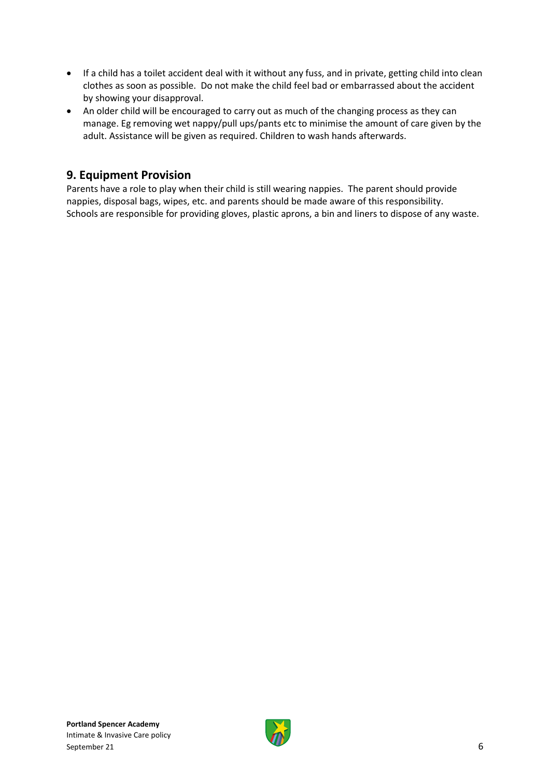- If a child has a toilet accident deal with it without any fuss, and in private, getting child into clean clothes as soon as possible. Do not make the child feel bad or embarrassed about the accident by showing your disapproval.
- An older child will be encouraged to carry out as much of the changing process as they can manage. Eg removing wet nappy/pull ups/pants etc to minimise the amount of care given by the adult. Assistance will be given as required. Children to wash hands afterwards.

#### **9. Equipment Provision**

Parents have a role to play when their child is still wearing nappies. The parent should provide nappies, disposal bags, wipes, etc. and parents should be made aware of this responsibility. Schools are responsible for providing gloves, plastic aprons, a bin and liners to dispose of any waste.

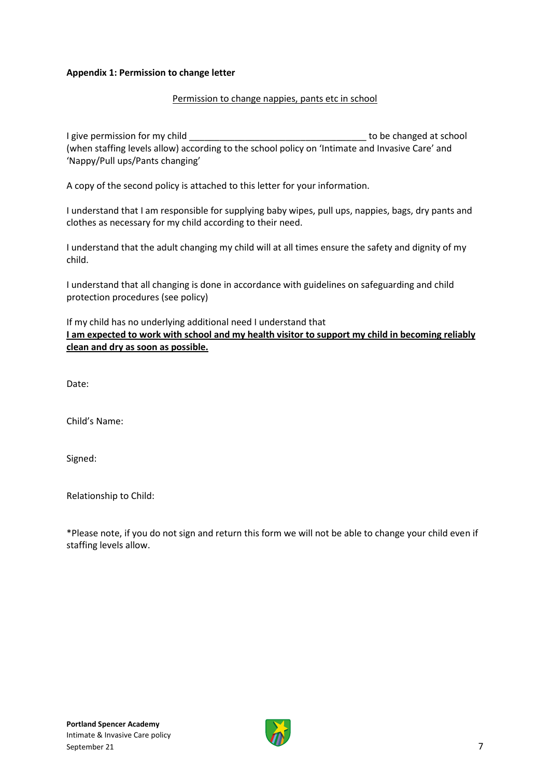#### **Appendix 1: Permission to change letter**

#### Permission to change nappies, pants etc in school

I give permission for my child and the state of the changed at school (when staffing levels allow) according to the school policy on 'Intimate and Invasive Care' and 'Nappy/Pull ups/Pants changing'

A copy of the second policy is attached to this letter for your information.

I understand that I am responsible for supplying baby wipes, pull ups, nappies, bags, dry pants and clothes as necessary for my child according to their need.

I understand that the adult changing my child will at all times ensure the safety and dignity of my child.

I understand that all changing is done in accordance with guidelines on safeguarding and child protection procedures (see policy)

If my child has no underlying additional need I understand that **I am expected to work with school and my health visitor to support my child in becoming reliably clean and dry as soon as possible.**

Date:

Child's Name:

Signed:

Relationship to Child:

\*Please note, if you do not sign and return this form we will not be able to change your child even if staffing levels allow.